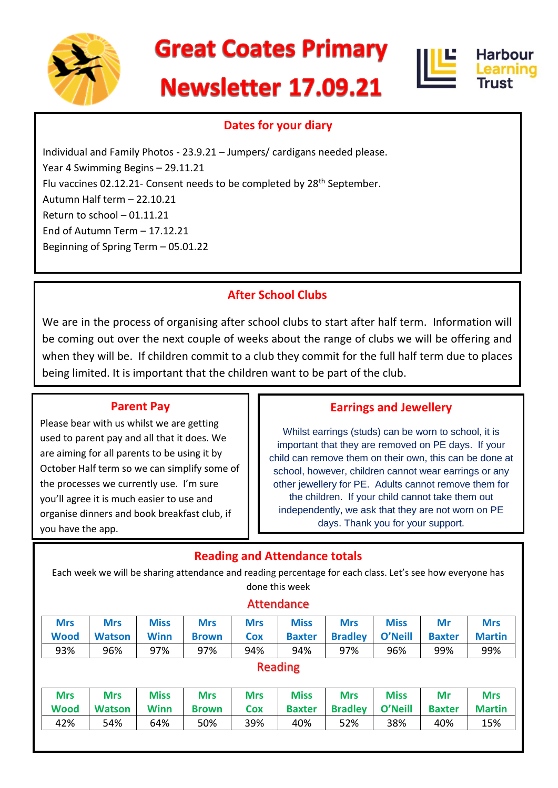

# **Great Coates Primary**

# **Newsletter 17.09.21**





# **Dates for your diary**

Individual and Family Photos - 23.9.21 – Jumpers/ cardigans needed please. Year 4 Swimming Begins – 29.11.21 Flu vaccines 02.12.21- Consent needs to be completed by 28<sup>th</sup> September. Autumn Half term – 22.10.21 Return to school – 01.11.21 End of Autumn Term – 17.12.21 Beginning of Spring Term – 05.01.22

# **After School Clubs**

We are in the process of organising after school clubs to start after half term. Information will be coming out over the next couple of weeks about the range of clubs we will be offering and when they will be. If children commit to a club they commit for the full half term due to places being limited. It is important that the children want to be part of the club.

#### **Parent Pay**

Please bear with us whilst we are getting used to parent pay and all that it does. We are aiming for all parents to be using it by October Half term so we can simplify some of the processes we currently use. I'm sure you'll agree it is much easier to use and organise dinners and book breakfast club, if you have the app.

#### **Earrings and Jewellery**

Whilst earrings (studs) can be worn to school, it is important that they are removed on PE days. If your child can remove them on their own, this can be done at school, however, children cannot wear earrings or any other jewellery for PE. Adults cannot remove them for the children. If your child cannot take them out independently, we ask that they are not worn on PE days. Thank you for your support.

# **Reading and Attendance totals**

Each week we will be sharing attendance and reading percentage for each class. Let's see how everyone has done this week

#### Attendance

| <b>Mrs</b>                | <b>Mrs</b>                  | <b>Miss</b>                | <b>Mrs</b>                 | <b>Mrs</b>               | <b>Miss</b>                  | <b>Mrs</b>                   | <b>Miss</b>            | Mr                  | <b>Mrs</b>                  |
|---------------------------|-----------------------------|----------------------------|----------------------------|--------------------------|------------------------------|------------------------------|------------------------|---------------------|-----------------------------|
| <b>Wood</b>               | <b>Watson</b>               | <b>Winn</b>                | <b>Brown</b>               | Cox                      | <b>Baxter</b>                | <b>Bradley</b>               | O'Neill                | <b>Baxter</b>       | <b>Martin</b>               |
| 93%                       | 96%                         | 97%                        | 97%                        | 94%                      | 94%                          | 97%                          | 96%                    | 99%                 | 99%                         |
| Reading                   |                             |                            |                            |                          |                              |                              |                        |                     |                             |
| <b>Mrs</b><br><b>Wood</b> | <b>Mrs</b><br><b>Watson</b> | <b>Miss</b><br><b>Winn</b> | <b>Mrs</b><br><b>Brown</b> | <b>Mrs</b><br><b>Cox</b> | <b>Miss</b><br><b>Baxter</b> | <b>Mrs</b><br><b>Bradley</b> | <b>Miss</b><br>O'Neill | Mr<br><b>Baxter</b> | <b>Mrs</b><br><b>Martin</b> |

42% 54% 64% 50% 39% 40% 52% 38% 40% 15%